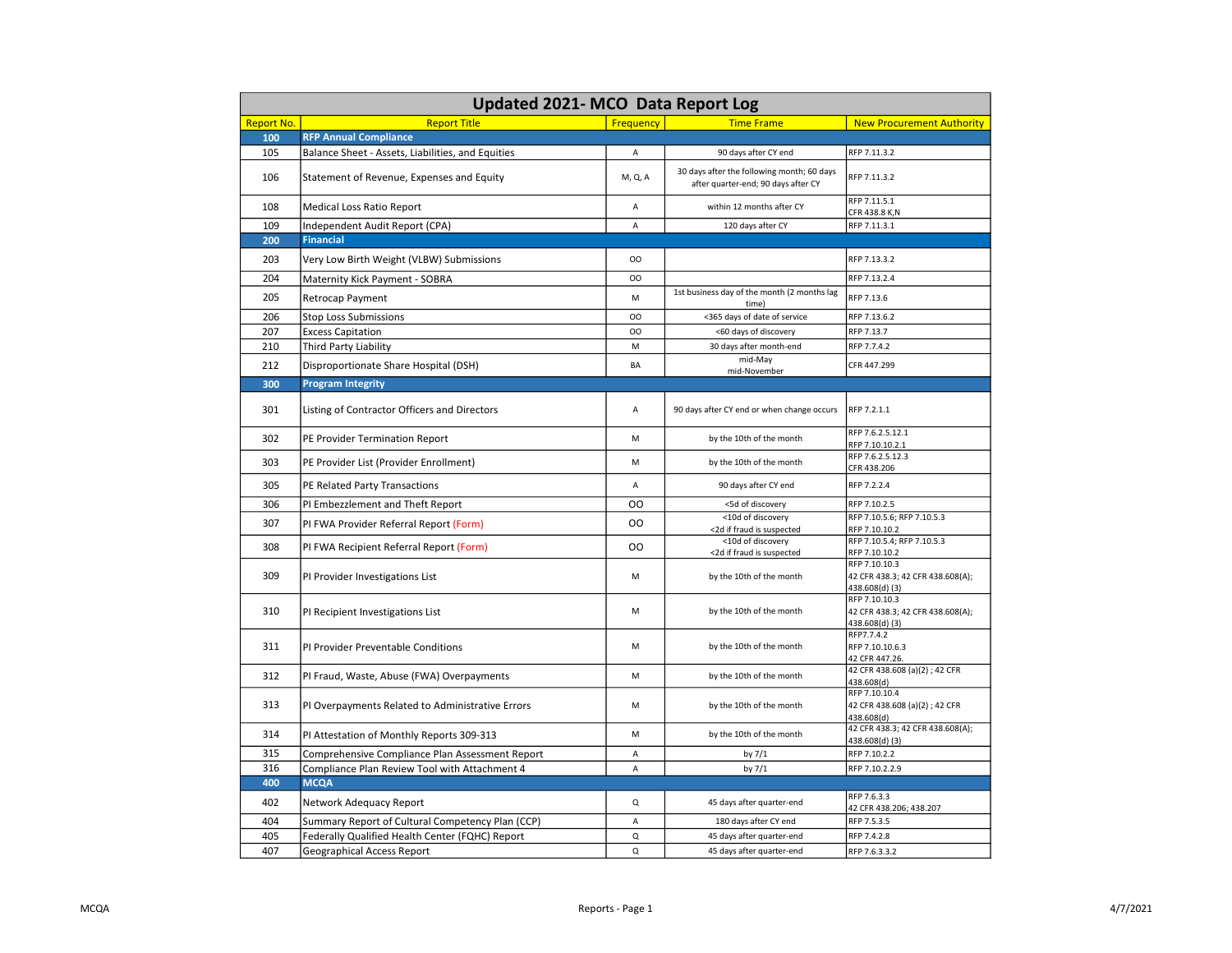| <b>Updated 2021-MCO Data Report Log</b> |                                                   |                |                                                                                   |                                                                                     |  |  |
|-----------------------------------------|---------------------------------------------------|----------------|-----------------------------------------------------------------------------------|-------------------------------------------------------------------------------------|--|--|
| <b>Report No.</b>                       | <b>Report Title</b>                               | Frequency      | <b>Time Frame</b>                                                                 | <b>New Procurement Authority</b>                                                    |  |  |
| 100                                     | <b>RFP Annual Compliance</b>                      |                |                                                                                   |                                                                                     |  |  |
| 105                                     | Balance Sheet - Assets, Liabilities, and Equities | Α              | 90 days after CY end                                                              | RFP 7.11.3.2                                                                        |  |  |
| 106                                     | Statement of Revenue, Expenses and Equity         | M, Q, A        | 30 days after the following month; 60 days<br>after quarter-end; 90 days after CY | RFP 7.11.3.2                                                                        |  |  |
| 108                                     | Medical Loss Ratio Report                         | A              | within 12 months after CY                                                         | RFP 7.11.5.1<br>CFR 438.8 K,N                                                       |  |  |
| 109                                     | Independent Audit Report (CPA)                    | A              | 120 days after CY                                                                 | RFP 7.11.3.1                                                                        |  |  |
| 200                                     | <b>Financial</b>                                  |                |                                                                                   |                                                                                     |  |  |
| 203                                     | Very Low Birth Weight (VLBW) Submissions          | OO             |                                                                                   | RFP 7.13.3.2                                                                        |  |  |
| 204                                     | Maternity Kick Payment - SOBRA                    | OO             |                                                                                   | RFP 7.13.2.4                                                                        |  |  |
| 205                                     | Retrocap Payment                                  | M              | 1st business day of the month (2 months lag<br>time)                              | RFP 7.13.6                                                                          |  |  |
| 206                                     | Stop Loss Submissions                             | OO             | <365 days of date of service                                                      | RFP 7.13.6.2                                                                        |  |  |
| 207                                     | <b>Excess Capitation</b>                          | OO             | <60 days of discovery                                                             | RFP 7.13.7                                                                          |  |  |
| 210                                     | Third Party Liability                             | M              | 30 days after month-end                                                           | RFP 7.7.4.2                                                                         |  |  |
| 212                                     | Disproportionate Share Hospital (DSH)             | BA             | mid-May<br>mid-November                                                           | CFR 447.299                                                                         |  |  |
| 300                                     | <b>Program Integrity</b>                          |                |                                                                                   |                                                                                     |  |  |
| 301                                     | Listing of Contractor Officers and Directors      | А              | 90 days after CY end or when change occurs                                        | RFP 7.2.1.1                                                                         |  |  |
| 302                                     | PE Provider Termination Report                    | M              | by the 10th of the month                                                          | RFP 7.6.2.5.12.1<br>RFP 7.10.10.2.1                                                 |  |  |
| 303                                     | PE Provider List (Provider Enrollment)            | M              | by the 10th of the month                                                          | RFP 7.6.2.5.12.3<br>CFR 438.206                                                     |  |  |
| 305                                     | PE Related Party Transactions                     | A              | 90 days after CY end                                                              | RFP 7.2.2.4                                                                         |  |  |
| 306                                     | PI Embezzlement and Theft Report                  | <sub>00</sub>  | <5d of discovery                                                                  | RFP 7.10.2.5                                                                        |  |  |
| 307                                     | PI FWA Provider Referral Report (Form)            | <sub>00</sub>  | <10d of discovery<br><2d if fraud is suspected                                    | RFP 7.10.5.6; RFP 7.10.5.3<br>RFP 7.10.10.2                                         |  |  |
| 308                                     | PI FWA Recipient Referral Report (Form)           | <sub>00</sub>  | <10d of discovery                                                                 | RFP 7.10.5.4; RFP 7.10.5.3                                                          |  |  |
| 309                                     | PI Provider Investigations List                   | M              | <2d if fraud is suspected<br>by the 10th of the month                             | RFP 7.10.10.2<br>RFP 7.10.10.3<br>42 CFR 438.3; 42 CFR 438.608(A);<br>438.608(d)(3) |  |  |
| 310                                     | PI Recipient Investigations List                  | M              | by the 10th of the month                                                          | RFP 7.10.10.3<br>42 CFR 438.3; 42 CFR 438.608(A);<br>438.608(d)(3)                  |  |  |
| 311                                     | PI Provider Preventable Conditions                | M              | by the 10th of the month                                                          | RFP7.7.4.2<br>RFP 7.10.10.6.3<br>42 CFR 447.26.                                     |  |  |
| 312                                     | PI Fraud, Waste, Abuse (FWA) Overpayments         | M              | by the 10th of the month                                                          | 42 CFR 438.608 (a)(2); 42 CFR<br>438.608(d)                                         |  |  |
| 313                                     | PI Overpayments Related to Administrative Errors  | M              | by the 10th of the month                                                          | RFP 7.10.10.4<br>42 CFR 438.608 (a)(2); 42 CFR<br>438.608(d)                        |  |  |
| 314                                     | PI Attestation of Monthly Reports 309-313         | M              | by the 10th of the month                                                          | 42 CFR 438.3; 42 CFR 438.608(A);<br>438.608(d)(3)                                   |  |  |
| 315                                     | Comprehensive Compliance Plan Assessment Report   | A              | by 7/1                                                                            | RFP 7.10.2.2                                                                        |  |  |
| 316                                     | Compliance Plan Review Tool with Attachment 4     | A              | by $7/1$                                                                          | RFP 7.10.2.2.9                                                                      |  |  |
| 400                                     | <b>MCQA</b>                                       |                |                                                                                   |                                                                                     |  |  |
| 402                                     | Network Adequacy Report                           | Q              | 45 days after quarter-end                                                         | RFP 7.6.3.3<br>42 CFR 438.206; 438.207                                              |  |  |
| 404                                     | Summary Report of Cultural Competency Plan (CCP)  | $\overline{A}$ | 180 days after CY end                                                             | RFP 7.5.3.5                                                                         |  |  |
| 405                                     | Federally Qualified Health Center (FQHC) Report   | Q              | 45 days after quarter-end                                                         | RFP 7.4.2.8                                                                         |  |  |
| 407                                     | Geographical Access Report                        | $\mathsf Q$    | 45 days after quarter-end                                                         | RFP 7.6.3.3.2                                                                       |  |  |